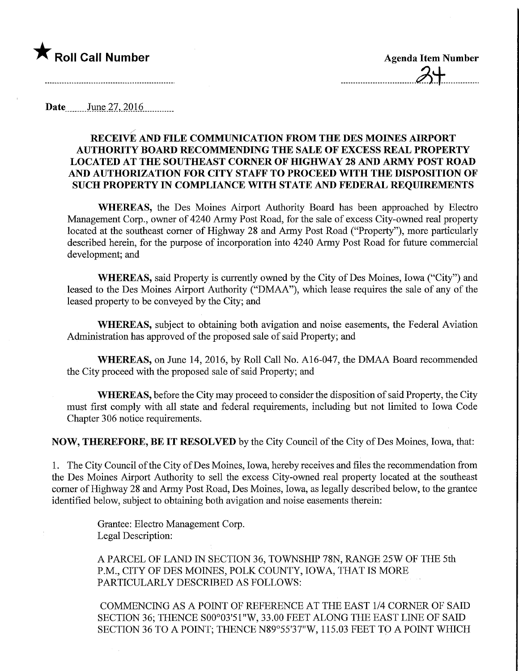# $\bigstar$  Roll Call Number  $\bigstar$  Agenda Item Number

Date June 27, 2016

# RECEIVE AND FILE COMMUNICATION FROM THE DES MOINES AIRPORT AUTHOMTY BOARD RECOMMENDING THE SALE OF EXCESS REAL PROPERTY LOCATED AT THE SOUTHEAST CORNER OF HIGHWAY 28 AND ARMY POST ROAD AND AUTHORIZATION FOR CITY STAFF TO PROCEED WITH THE DISPOSITION OF SUCH PROPERTY IN COMPLIANCE WITH STATE AND FEDERAL REQUIREMENTS

WHEREAS, the Des Moines Airport Authority Board has been approached by Electro Management Corp., owner of 4240 Army Post Road, for the sale of excess City-owned real property located at the southeast comer of Highway 28 and Army Post Road ("Property"), more particularly described herein, for the purpose of incorporation into 4240 Army Post Road for future commercial development; and

WHEREAS, said Property is currently owned by the City of Des Moines, Iowa ("City") and leased to the Des Moines Airport Authority ("DMAA"), which lease requires the sale of any of the leased property to be conveyed by the City; and

WHEREAS, subject to obtaining both avigation and noise easements, the Federal Aviation Administration has approved of the proposed sale of said Property; and

WHEREAS, on June 14, 2016, by Roll Call No. A16-047, the DMAA Board recommended the City proceed with the proposed sale of said Property; and

WHEREAS, before the City may proceed to consider the disposition of said Property, the City must first comply with all state and federal requirements, including but not limited to Iowa Code Chapter 306 notice requirements.

NOW, THEREFORE, BE IT RESOLVED by the City Council of the City of Des Moines, Iowa, that:

1. The City Council of the City of Des Moines, Iowa, hereby receives and files the recommendation from the Des Moines Airport Authority to sell the excess City-owned real property located at the southeast comer of Highway 28 and Army Post Road, Des Moines, Iowa, as legally described below, to the grantee identified below, subject to obtaining both avigation and noise easements therein:

> Grantee: Electro Management Corp. Legal Description:

A PARCEL OF LAND IN SECTION 36, TOWNSHIP 78N, RANGE 25W OF THE 5th P.M., CITY OF DES MOINES, POLK COUNTY, IOWA, THAT IS MORE PARTICULARLY DESCRIBED AS FOLLOWS:

COMMENCING AS A POINT OF REFERENCE AT THE EAST 1/4 CORNER OF SAID SECTION 36; THENCE SOO°03'51"W, 33.00 FEET ALONG THE EAST LINE OF SAID SECTION 36 TO A POINT; THENCE N89°55'37"W, 115.03 FEET TO A POINT WHICH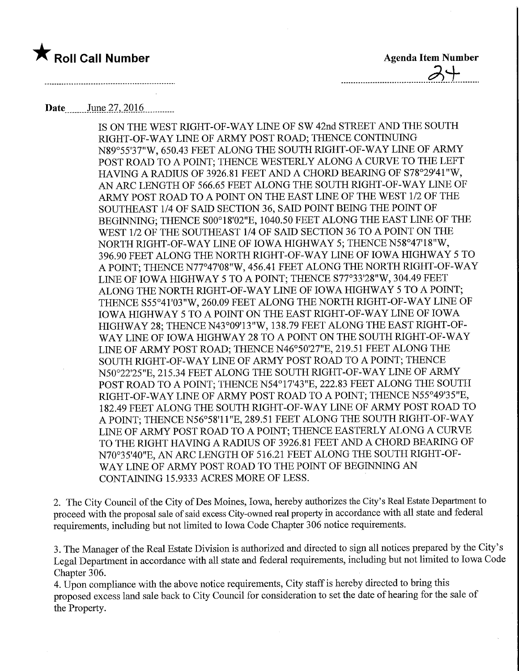

 $-3+$ 

# Date June 27, 2016

IS ON THE WEST RIGHT-OF-WAY LINE OF SW 42nd STREET AND THE SOUTH RIGHT-OF-WAY LINE OF ARMY POST ROAD; THENCE CONTINUING N89°55'37"W, 650.43 FEET ALONG THE SOUTH RIGHT-OF-WAY LINE OF ARMY POST ROAD TO A POINT; THENCE WESTERLY ALONG A CURVE TO THE LEFT HAVING A RADIUS OF 3926.81 FEET AND A CHORD BEARING OF S78°29'41"W, AN ARC LENGTH OF 566.65 FEET ALONG THE SOUTH RIGHT-OF-WAY LINE OF ARMY POST ROAD TO A POINT ON THE EAST LINE OF THE WEST 1/2 OF THE SOUTHEAST 1/4 OF SAID SECTION 36, SAID POINT BEING THE POINT OF BEGINNING; THENCE SOO°18'02"E, 1040.50 FEET ALONG THE EAST LINE OF THE WEST 1/2 OF THE SOUTHEAST 1/4 OF SAID SECTION 36 TO A POINT ON THE NORTH RIGHT-OF-WAY LINE OF IOWA HIGHWAY 5; THENCE N58°47'18"W, 396.90 FEET ALONG THE NORTH RIGHT-OF-WAY LINE OF IOWA HIGHWAY 5 TO A POINT; THENCE N77°47'08"W, 456.41 FEET ALONG THE NORTH RIGHT-OF-WAY LINE OF IOWA HIGHWAY 5 TO A POINT; THENCE S77°33'28"W, 304.49 FEET ALONG THE NORTH RIGHT-OF-WAY LINE OF IOWA HIGHWAY 5 TO A POINT; THENCE S55°41'03"W, 260.09 FEET ALONG THE NORTH RIGHT-OF-WAY LINE OF IOWA HIGHWAY 5 TO A POINT ON THE EAST RIGHT-OF-WAY LINE OF IOWA HIGHWAY 28; THENCE N43°09'13"W, 138.79 FEET ALONG THE EAST RIGHT-OF-WAY LINE OF IOWA HIGHWAY 28 TO A POINT ON THE SOUTH RIGHT-OF-WAY LINE OF ARMY POST ROAD; THENCE N46°50'27"E, 219.51 FEET ALONG THE SOUTH RIGHT-OF-WAY LINE OF ARMY POST ROAD TO A POINT; THENCE N50°22'25"E, 215.34 FEET ALONG THE SOUTH RIGHT-OF-WAY LINE OF ARMY POST ROAD TO A POINT; THENCE N54°17'43"E, 222.83 FEET ALONG THE SOUTH RIGHT-OF-WAY LINE OF ARMY POST ROAD TO A POINT; THENCE N55°49'35"E, 182.49 FEET ALONG THE SOUTH RIGHT-OF-WAY LINE OF ARMY POST ROAD TO A POINT; THENCE N56°58'l 1 "E, 289.51 FEET ALONG THE SOUTH RIGHT-OF-WAY LINE OF ARMY POST ROAD TO A POINT; THENCE EASTERLY ALONG A CURVE TO THE RIGHT HAVING A RADIUS OF 3926.81 FEET AND A CHORD BEARING OF N70°35'40"E, AN ARC LENGTH OF 516.21 FEET ALONG THE SOUTH RIGHT-OF-WAY LINE OF ARMY POST ROAD TO THE POINT OF BEGINNING AN CONTAINING 15.9333 ACRES MORE OF LESS.

2. The City Council of the City of Des Moines, Iowa, hereby authorizes the City's Real Estate Department to proceed with the proposal sale of said excess City-owned real property in accordance with all state and federal requirements, including but not limited to Iowa Code Chapter 306 notice requirements.

3. The Manager of the Real Estate Division is authorized and directed to sign all notices prepared by the City's Legal Department in accordance with all state and federal requirements, including but not limited to Iowa Code Chapter 306.

4. Upon compliance with the above notice requirements. City staff is hereby directed to bring this proposed excess land sale back to City Council for consideration to set the date of hearing for the sale of the Property.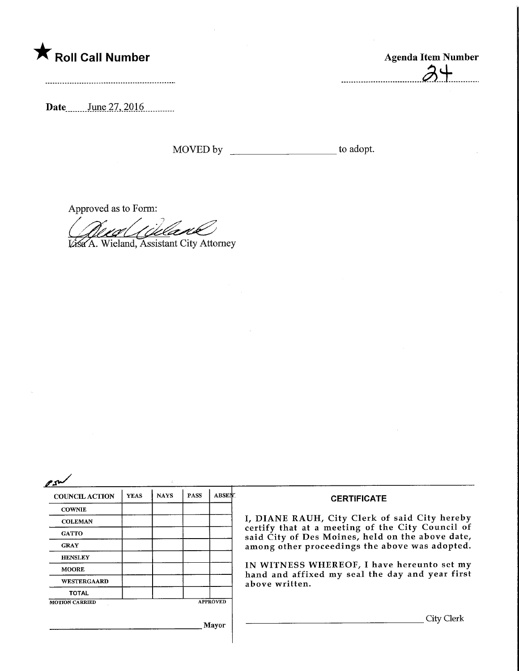

**Agenda Item Number** . . . . . . \_\_\_\_\_\_\_\_\_\_\_**\_\_\_\_\_\_\_\_\_\_**\_\_\_\_\_\_\_

Date June 27, 2016

Approved as to Form:

*Visa* A. Wieland, Assistant City Attorney

| n | ı<br>г |
|---|--------|
|   |        |

| <b>COUNCIL ACTION</b> | <b>YEAS</b> | <b>NAYS</b> | <b>PASS</b> | <b>ABSEN</b> .  | <b>CERTIFICATE</b>                                                                                                                                                                                      |
|-----------------------|-------------|-------------|-------------|-----------------|---------------------------------------------------------------------------------------------------------------------------------------------------------------------------------------------------------|
| <b>COWNIE</b>         |             |             |             |                 |                                                                                                                                                                                                         |
| <b>COLEMAN</b>        |             |             |             |                 | I, DIANE RAUH, City Clerk of said City hereby<br>certify that at a meeting of the City Council of<br>said City of Des Moines, held on the above date,<br>among other proceedings the above was adopted. |
| <b>GATTO</b>          |             |             |             |                 |                                                                                                                                                                                                         |
| <b>GRAY</b>           |             |             |             |                 |                                                                                                                                                                                                         |
| <b>HENSLEY</b>        |             |             |             |                 |                                                                                                                                                                                                         |
| <b>MOORE</b>          |             |             |             |                 | IN WITNESS WHEREOF, I have hereunto set my<br>hand and affixed my seal the day and year first                                                                                                           |
| WESTERGAARD           |             |             |             | above written.  |                                                                                                                                                                                                         |
| <b>TOTAL</b>          |             |             |             |                 |                                                                                                                                                                                                         |
| <b>MOTION CARRIED</b> |             |             |             | <b>APPROVED</b> |                                                                                                                                                                                                         |
|                       |             |             | Mayor       | City Clerk      |                                                                                                                                                                                                         |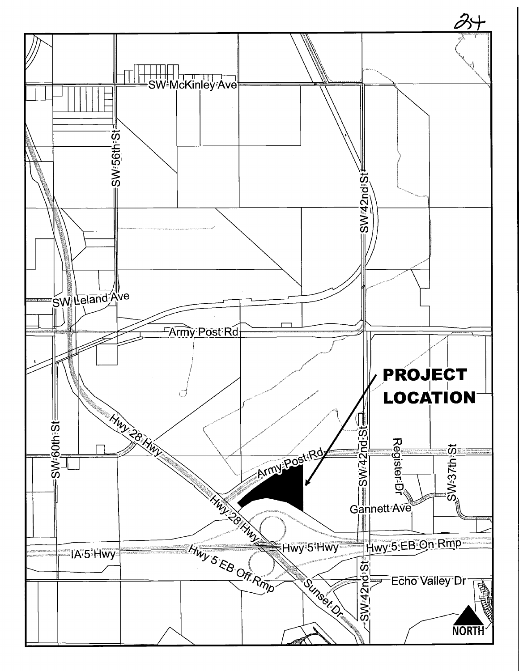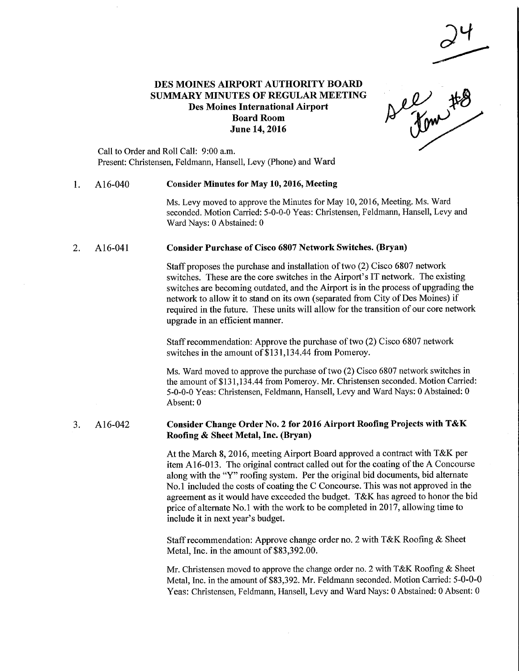# DES MOINES AIRPORT AUTHORITY BOARD SUMMARY MINUTES OF REGULAR MEETING Des Moines International Airport Board Room June 14,2016

el #8

Call to Order and Roll Call: 9:00 a.m. Present: Christensen, Feldmann, Hansell, Levy (Phone) and Ward

#### 1. Al 6-040 Consider Minutes for May 10,2016, Meeting

Ms. Levy moved to approve the Minutes for May 10, 2016, Meeting. Ms. Ward seconded. Motion Carried: 5-0-0-0 Yeas: Christensen, Feldmann, Hansell, Levy and Ward Nays: 0 Abstained: 0

#### 2. A16-041 Consider Purchase of Cisco 6807 Network Switches. (Bryan)

Staff proposes the purchase and installation of two (2) Cisco 6807 network switches. These are the core switches in the Airport's IT network. The existing switches are becoming outdated, and the Airport is in the process of upgrading the network to allow it to stand on its own (separated from City of Des Moines) if required in the future. These units will allow for the transition of our core network upgrade in an efficient manner.

Staff recommendation: Approve the purchase of two (2) Cisco 6807 network switches in the amount of \$131,134.44 from Pomeroy.

Ms. Ward moved to approve the purchase of two (2) Cisco 6807 network switches in the amount of \$131,134.44 from Pomeroy. Mr. Christensen seconded. Motion Carried: 5-0-0-0 Yeas: Christensen, Feldmann, Hansell, Levy and Ward Nays: 0 Abstained: 0 Absent: 0

## 3. Al 6-042 Consider Change Order No. 2 for 2016 Airport Roofing Projects with T&K Roofing & Sheet Metal, Inc. (Bryan)

At the March 8, 2016, meeting Airport Board approved a contract with T&K per item A16-013. The original contract called out for the coating of the A Concourse along with the "Y" roofing system. Per the original bid documents, bid alternate No. 1 included the costs of coating the C Concourse. This was not approved in the agreement as it would have exceeded the budget. T&K has agreed to honor the bid price of alternate No. 1 with the work to be completed in 2017, allowing time to include it in next year's budget.

Staff recommendation: Approve change order no. 2 with T&K Roofing & Sheet Metal, Inc. in the amount of \$83,392.00.

Mr. Christensen moved to approve the change order no. 2 with T&K Roofing & Sheet Metal, Inc. in the amount of \$83,392. Mr. Feldmann seconded. Motion Carried: 5-0-0-0 Yeas: Christensen, Feldmann, Hansell, Levy and Ward Nays: 0 Abstained: 0 Absent: 0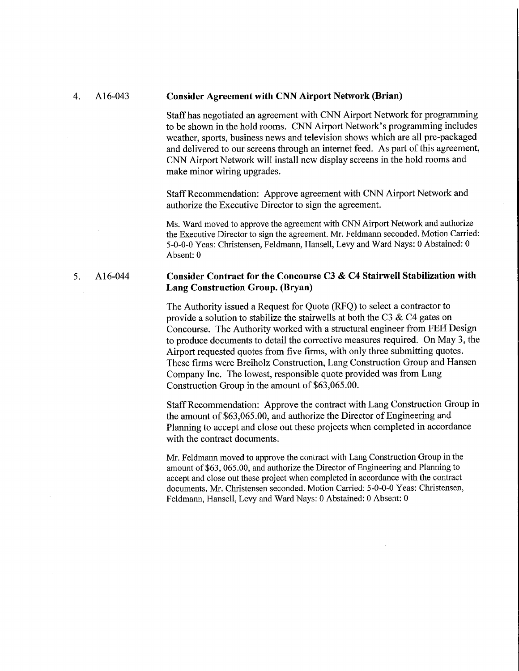#### 4. Al 6-043 **Consider Agreement with CNN Airport Network (Brian)**

Staff has negotiated an agreement with CNN Airport Network for programming to be shown in the hold rooms. CNN Airport Network's programming includes weather, sports, business news and television shows which are all pre-packaged and delivered to our screens through an internet feed. As part of this agreement, CNN Airport Network will install new display screens in the hold rooms and make minor wiring upgrades.

Staff Recommendation: Approve agreement with CNN Airport Network and authorize the Executive Director to sign the agreement.

Ms. Ward moved to approve the agreement with CNN Airport Network and authorize the Executive Director to sign the agreement. Mr. Feldmann seconded. Motion Carried: 5-0-0-0 Yeas: Christensen, Feldmann, Hansell, Levy and Ward Nays: 0 Abstained: 0 Absent: 0

# 5. Al 6-044 Consider Contract for the Concourse C3 & C4 Stairwell Stabilization with Lang Construction Group. (Bryan)

The Authority issued a Request for Quote (RFQ) to select a contractor to provide a solution to stabilize the stairwells at both the C3  $\&$  C4 gates on Concourse. The Authority worked with a structural engineer from FEH Design to produce documents to detail the corrective measures required. On May 3, the Airport requested quotes from five firms, with only three submitting quotes. These firms were Breiholz Construction, Lang Construction Group and Hansen Company Inc. The lowest, responsible quote provided was from Lang Construction Group in the amount of \$63,065.00.

Staff Recommendation: Approve the contract with Lang Construction Group in the amount of \$63,065.00, and authorize the Director of Engineering and Planning to accept and close out these projects when completed in accordance with the contract documents.

Mr. Feldmann moved to approve the contract with Lang Construction Group in the amount of \$63, 065.00, and authorize the Director of Engineering and Planning to accept and close out these project when completed in accordance with the contract documents. Mr. Christensen seconded. Motion Carried: 5-0-0-0 Yeas: Christensen, Feldmann, Hansell, Levy and Ward Nays: 0 Abstained: 0 Absent: 0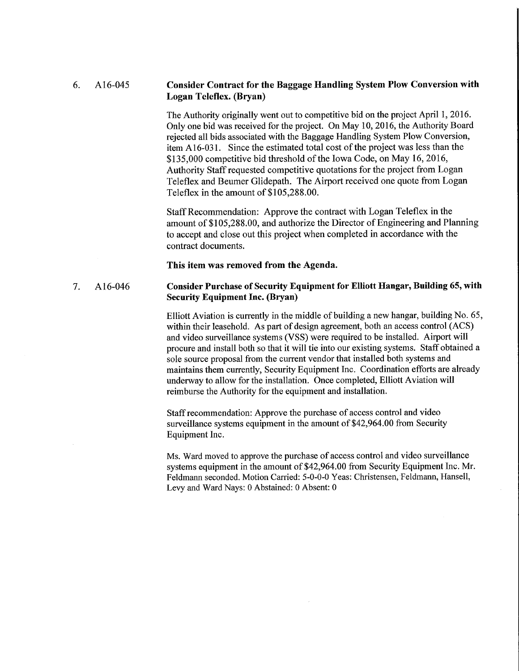# 6. Al 6-045 Consider Contract for the Baggage Handling System Plow Conversion with Logan Teleflex. (Bryan)

The Authority originally went out to competitive bid on the project April 1, 2016. Only one bid was received for the project. On May 10, 2016, the Authority Board rejected all bids associated with the Baggage Handling System Plow Conversion, item A 16-031. Since the estimated total cost of the project was less than the \$135,000 competitive bid threshold of the Iowa Code, on May 16, 2016, Authority Staff requested competitive quotations for the project from Logan Teleflex and Beumer Glidepath. The Airport received one quote from Logan Teleflex in the amount of \$105,288.00.

Staff Recommendation: Approve the contract with Logan Teleflex in the amount of \$105,288.00, and authorize the Director of Engineering and Planning to accept and close out this project when completed in accordance with the contract documents.

This item was removed from the Agenda.

# 7. Al 6-046 Consider Purchase of Security Equipment for Elliott Hangar, Building 65, with Security Equipment Inc. (Bryan)

Elliott Aviation is currently in the middle of building a new hangar, building No. 65, within their leasehold. As part of design agreement, both an access control (ACS) and video surveillance systems (VSS) were required to be installed. Airport will procure and install both so that it will tie into our existing systems. Staff obtained a sole source proposal from the current vendor that installed both systems and maintains them currently. Security Equipment Inc. Coordination efforts are already underway to allow for the installation. Once completed, Elliott Aviation will reimburse the Authority for the equipment and installation.

Staff recommendation: Approve the purchase of access control and video surveillance systems equipment in the amount of \$42,964.00 from Security Equipment Inc.

Ms. Ward moved to approve the purchase of access control and video surveillance systems equipment in the amount of \$42,964.00 from Security Equipment Inc. Mr. Feldmann seconded. Motion Carried: 5-0-0-0 Yeas: Christensen, Feldmann, Hansell, Levy and Ward Nays: 0 Abstained: 0 Absent: 0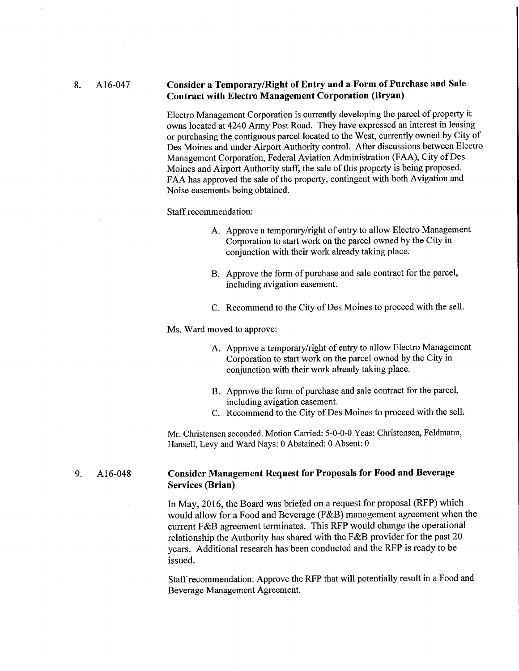# 8. Al 6-047 Consider a Temporary/Right of Entry and a Form of Purchase and Sale Contract with Electro Management Corporation (Bryan)

Electro Management Corporation is currently developing the parcel of property it owns located at 4240 Army Post Road. They have expressed an interest in leasing or purchasing the contiguous parcel located to the West, currently owned by City of Des Moines and under Airport Authority control. After discussions between Electro Management Corporation, Federal Aviation Administration (FAA), City of Des Moines and Airport Authority staff, the sale of this property is being proposed. FAA has approved the sale of the property, contingent with both Avigation and Noise easements being obtained.

Staff recommendation:

- A. Approve a temporary/right of entry to allow Electro Management Corporation to start work on the parcel owned by the City in conjunction with their work already taking place.
- B. Approve the form of purchase and sale contract for the parcel, including avigation easement.
- C. Recommend to the City of Des Moines to proceed with the sell.

Ms. Ward moved to approve:

- A. Approve a temporary/right of entry to allow Electro Management Corporation to start work on the parcel owned by the City in conjunction with their work already taking place.
- B. Approve the form of purchase and sale contract for the parcel, including avigation easement.
- C. Recommend to the City of Des Moines to proceed with the sell.

Mr. Christensen seconded. Motion Carried: 5-0-0-0 Yeas: Christensen, Feldmann, Hansell, Levy and Ward Nays: 0 Abstained: 0 Absent: 0

# 9. Al 6-048 Consider Management Request for Proposals for Food and Beverage Services (Brian)

In May, 2016, the Board was briefed on a request for proposal (RFP) which would allow for a Food and Beverage (F&B) management agreement when the current F&B agreement terminates. This RFP would change the operational relationship the Authority has shared with the F&B provider for the past 20 years. Additional research has been conducted and the RFP is ready to be issued.

Staff recommendation: Approve the RFP that will potentially result in a Food and Beverage Management Agreement.